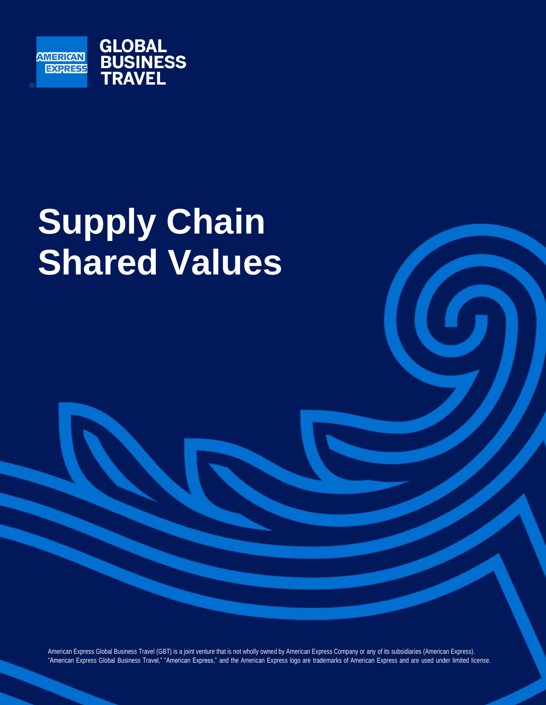

# **Supply Chain Shared Values**

American Express Global Business Travel (GBT) is a joint venture that is not wholly owned by American Express Company or any of its subsidiaries (American Express). "American Express Global Business Travel," "American Express," and the American Express logo are trademarks of American Express and are used under limited license.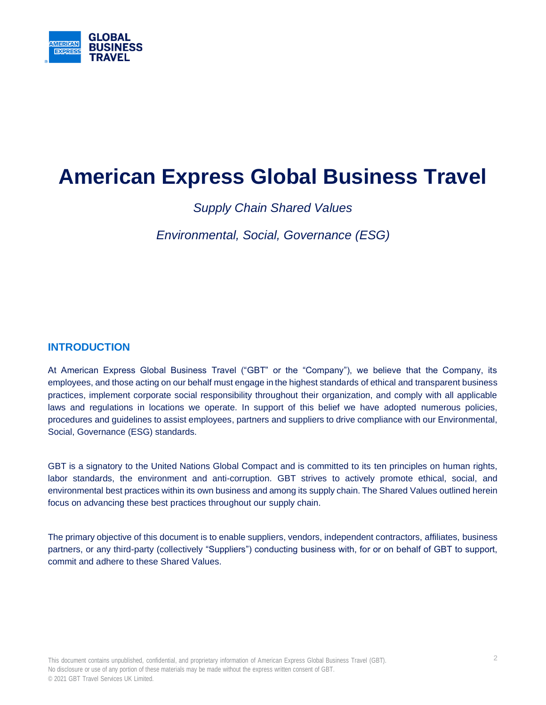

# **American Express Global Business Travel**

*Supply Chain Shared Values*

*Environmental, Social, Governance (ESG)*

# **INTRODUCTION**

At American Express Global Business Travel ("GBT" or the "Company"), we believe that the Company, its employees, and those acting on our behalf must engage inthe highest standards of ethical and transparent business practices, implement corporate social responsibility throughout their organization, and comply with all applicable laws and regulations in locations we operate. In support of this belief we have adopted numerous policies, procedures and guidelines to assist employees, partners and suppliers to drive compliance with our Environmental, Social, Governance (ESG) standards.

GBT is a signatory to the United Nations Global Compact and is committed to its ten principles on human rights, labor standards, the environment and anti-corruption. GBT strives to actively promote ethical, social, and environmental best practices within its own business and among its supply chain. The Shared Values outlined herein focus on advancing these best practices throughout our supply chain.

The primary objective of this document is to enable suppliers, vendors, independent contractors, affiliates, business partners, or any third-party (collectively "Suppliers") conducting business with, for or on behalf of GBT to support, commit and adhere to these Shared Values.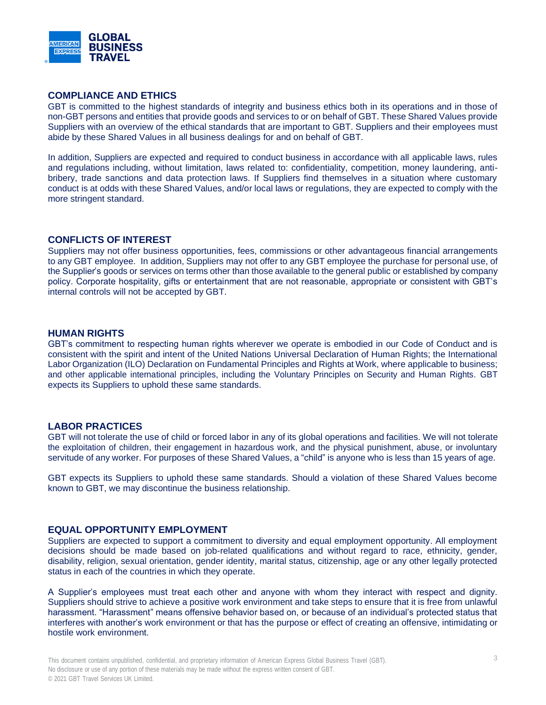

## **COMPLIANCE AND ETHICS**

GBT is committed to the highest standards of integrity and business ethics both in its operations and in those of non-GBT persons andentities that provide goods and services to or on behalf of GBT. These Shared Values provide Suppliers with an overview of the ethical standards that are important to GBT. Suppliers and their employees must abide by these Shared Values in all business dealings for and on behalf of GBT.

In addition, Suppliers are expected and required to conduct business in accordance with all applicable laws, rules and regulations including, without limitation, laws related to: confidentiality, competition, money laundering, antibribery, trade sanctions and data protection laws. If Suppliers find themselves in a situation where customary conduct is at odds with these Shared Values, and/or local laws or regulations, they are expected to comply with the more stringent standard.

#### **CONFLICTS OF INTEREST**

Suppliers may not offer business opportunities, fees, commissions or other advantageous financial arrangements to any GBT employee. In addition, Suppliers may not offer to any GBT employee the purchase for personal use, of the Supplier's goods or services on terms other than those available to the general public or established by company policy. Corporate hospitality, gifts or entertainment that are not reasonable, appropriate or consistent with GBT's internal controls will not be accepted by GBT.

#### **HUMAN RIGHTS**

GBT's commitment to respecting human rights wherever we operate is embodied in our Code of Conduct and is consistent with the spirit and intent of the United Nations Universal Declaration of Human Rights; the International Labor Organization (ILO) Declaration on Fundamental Principles and Rights at Work, where applicable to business; and other applicable international principles, including the Voluntary Principles on Security and Human Rights. GBT expects its Suppliers to uphold these same standards.

#### **LABOR PRACTICES**

GBT will not tolerate the use of child or forced labor in any of its global operations and facilities. We will not tolerate the exploitation of children, their engagement in hazardous work, and the physical punishment, abuse, or involuntary servitude of any worker. For purposes of these Shared Values, a "child" is anyone who is less than 15 years of age.

GBT expects its Suppliers to uphold these same standards. Should a violation of these Shared Values become known to GBT, we may discontinue the business relationship.

## **EQUAL OPPORTUNITY EMPLOYMENT**

Suppliers are expected to support a commitment to diversity and equal employment opportunity. All employment decisions should be made based on job-related qualifications and without regard to race, ethnicity, gender, disability, religion, sexual orientation, gender identity, marital status, citizenship, age or any other legally protected status in each of the countries in which they operate.

A Supplier's employees must treat each other and anyone with whom they interact with respect and dignity. Suppliers should strive to achieve a positive work environment and take steps to ensure that it is free from unlawful harassment. "Harassment" means offensive behavior based on, or because of an individual's protected status that interferes with another's work environment or that has the purpose or effect of creating an offensive, intimidating or hostile work environment.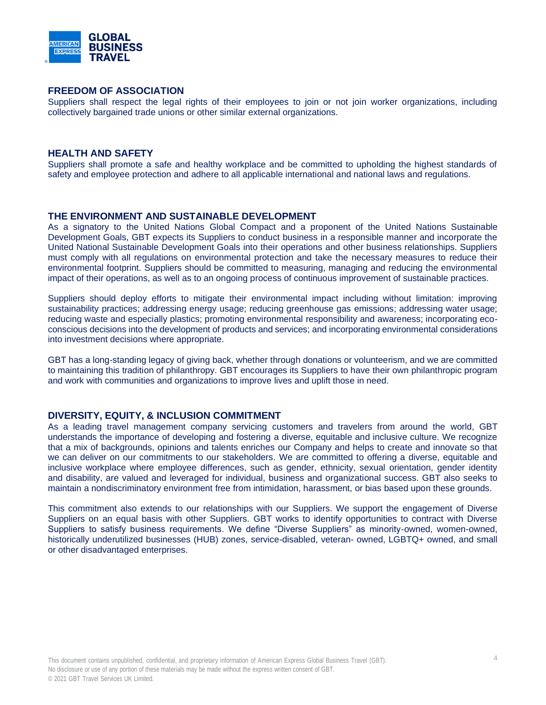

#### **FREEDOM OF ASSOCIATION**

Suppliers shall respect the legal rights of their employees to join or not join worker organizations, including collectively bargained trade unions or other similar external organizations.

#### **HEALTH AND SAFETY**

Suppliers shall promote a safe and healthy workplace and be committed to upholding the highest standards of safety and employee protection and adhere to all applicable international and national laws and regulations.

#### **THE ENVIRONMENT AND SUSTAINABLE DEVELOPMENT**

As a signatory to the United Nations Global Compact and a proponent of the United Nations Sustainable Development Goals, GBT expects its Suppliers to conduct business in a responsible manner and incorporate the United National Sustainable Development Goals into their operations and other business relationships. Suppliers must comply with all regulations on environmental protection and take the necessary measures to reduce their environmental footprint. Suppliers should be committed to measuring, managing and reducing the environmental impact of their operations, as well as to an ongoing process of continuous improvement of sustainable practices.

Suppliers should deploy efforts to mitigate their environmental impact including without limitation: improving sustainability practices; addressing energy usage; reducing greenhouse gas emissions; addressing water usage; reducing waste and especially plastics; promoting environmental responsibility and awareness; incorporating ecoconscious decisions into the development of products and services; and incorporating environmental considerations into investment decisions where appropriate.

GBT has a long-standing legacy of giving back, whether through donations or volunteerism, and we are committed to maintaining this tradition of philanthropy. GBT encourages its Suppliers to have their own philanthropic program and work with communities and organizations to improve lives and uplift those in need.

#### **DIVERSITY, EQUITY, & INCLUSION COMMITMENT**

As a leading travel management company servicing customers and travelers from around the world, GBT understands the importance of developing and fostering a diverse, equitable and inclusive culture. We recognize that a mix of backgrounds, opinions and talents enriches our Company and helps to create and innovate so that we can deliver on our commitments to our stakeholders. We are committed to offering a diverse, equitable and inclusive workplace where employee differences, such as gender, ethnicity, sexual orientation, gender identity and disability, are valued and leveraged for individual, business and organizational success. GBT also seeks to maintain a nondiscriminatory environment free from intimidation, harassment, or bias based upon these grounds.

This commitment also extends to our relationships with our Suppliers. We support the engagement of Diverse Suppliers on an equal basis with other Suppliers. GBT works to identify opportunities to contract with Diverse Suppliers to satisfy business requirements. We define "Diverse Suppliers" as minority-owned, women-owned, historically underutilized businesses (HUB) zones, service-disabled, veteran- owned, LGBTQ+ owned, and small or other disadvantaged enterprises.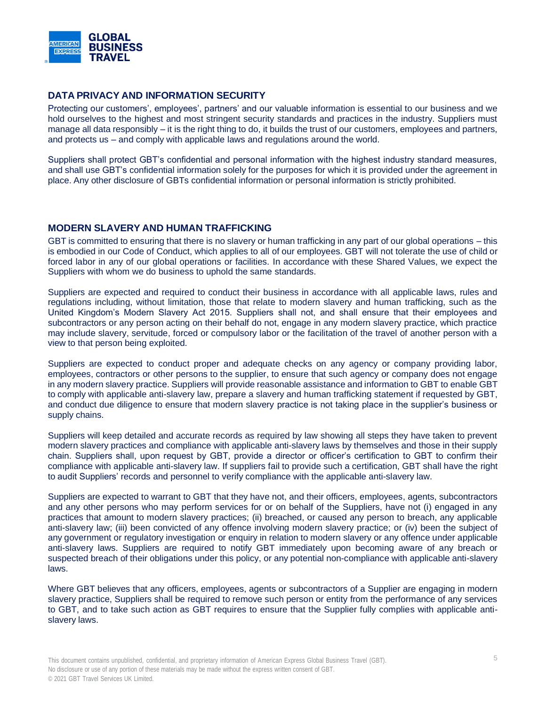

# **DATA PRIVACY AND INFORMATION SECURITY**

Protecting our customers', employees', partners' and our valuable information is essential to our business and we hold ourselves to the highest and most stringent security standards and practices in the industry. Suppliers must manage all data responsibly – it is the right thing to do, it builds the trust of our customers, employees and partners, and protects us – and comply with applicable laws and regulations around the world.

Suppliers shall protect GBT's confidential and personal information with the highest industry standard measures, and shall use GBT's confidential information solely for the purposes for which it is provided under the agreement in place. Any other disclosure of GBTs confidential information or personal information is strictly prohibited.

# **MODERN SLAVERY AND HUMAN TRAFFICKING**

GBT is committed to ensuring that there is no slavery or human trafficking in any part of our global operations – this is embodied in our Code of Conduct, which applies to all of our employees. GBT will not tolerate the use of child or forced labor in any of our global operations or facilities. In accordance with these Shared Values, we expect the Suppliers with whom we do business to uphold the same standards.

Suppliers are expected and required to conduct their business in accordance with all applicable laws, rules and regulations including, without limitation, those that relate to modern slavery and human trafficking, such as the United Kingdom's Modern Slavery Act 2015. Suppliers shall not, and shall ensure that their employees and subcontractors or any person acting on their behalf do not, engage in any modern slavery practice, which practice may include slavery, servitude, forced or compulsory labor or the facilitation of the travel of another person with a view to that person being exploited.

Suppliers are expected to conduct proper and adequate checks on any agency or company providing labor, employees, contractors or other persons to the supplier, to ensure that such agency or company does not engage in any modern slavery practice. Suppliers will provide reasonable assistance and information to GBT to enable GBT to comply with applicable anti-slavery law, prepare a slavery and human trafficking statement if requested by GBT, and conduct due diligence to ensure that modern slavery practice is not taking place in the supplier's business or supply chains.

Suppliers will keep detailed and accurate records as required by law showing all steps they have taken to prevent modern slavery practices and compliance with applicable anti-slavery laws by themselves and those in their supply chain. Suppliers shall, upon request by GBT, provide a director or officer's certification to GBT to confirm their compliance with applicable anti-slavery law. If suppliers fail to provide such a certification, GBT shall have the right to audit Suppliers' records and personnel to verify compliance with the applicable anti-slavery law.

Suppliers are expected to warrant to GBT that they have not, and their officers, employees, agents, subcontractors and any other persons who may perform services for or on behalf of the Suppliers, have not (i) engaged in any practices that amount to modern slavery practices; (ii) breached, or caused any person to breach, any applicable anti-slavery law; (iii) been convicted of any offence involving modern slavery practice; or (iv) been the subject of any government or regulatory investigation or enquiry in relation to modern slavery or any offence under applicable anti-slavery laws. Suppliers are required to notify GBT immediately upon becoming aware of any breach or suspected breach of their obligations under this policy, or any potential non-compliance with applicable anti-slavery laws.

Where GBT believes that any officers, employees, agents or subcontractors of a Supplier are engaging in modern slavery practice, Suppliers shall be required to remove such person or entity from the performance of any services to GBT, and to take such action as GBT requires to ensure that the Supplier fully complies with applicable antislavery laws.